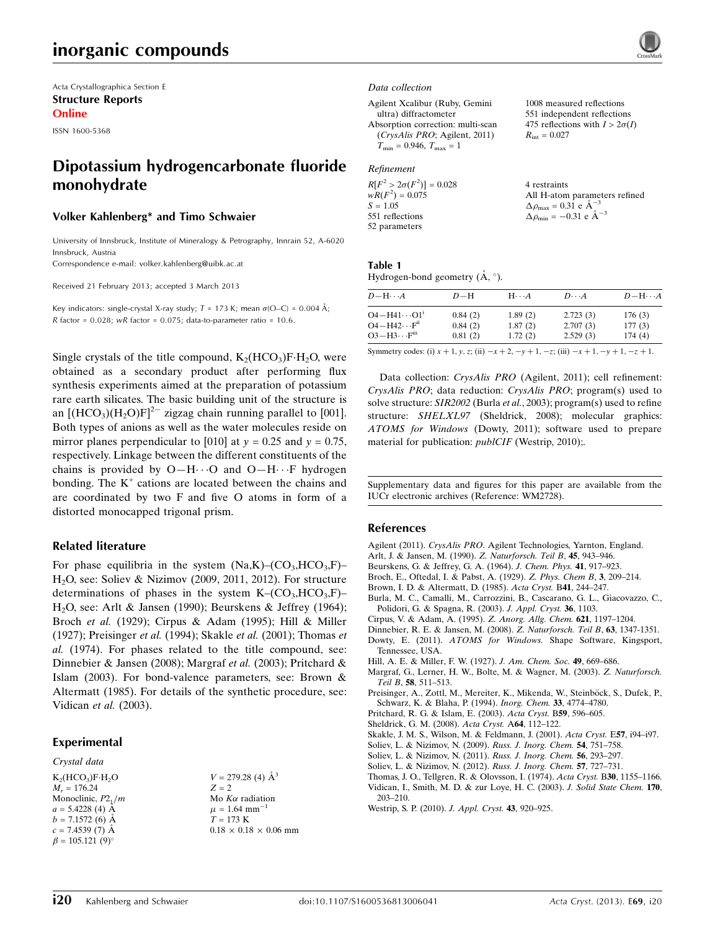# inorganic compounds

Acta Crystallographica Section E Structure Reports Online

ISSN 1600-5368

# Dipotassium hydrogencarbonate fluoride monohydrate

#### Volker Kahlenberg\* and Timo Schwaier

University of Innsbruck, Institute of Mineralogy & Petrography, Innrain 52, A-6020 Innsbruck, Austria

Correspondence e-mail: [volker.kahlenberg@uibk.ac.at](https://scripts.iucr.org/cgi-bin/cr.cgi?rm=pdfbb&cnor=wm2728&bbid=BB21)

Received 21 February 2013; accepted 3 March 2013

Key indicators: single-crystal X-ray study;  $T = 173$  K; mean  $\sigma$ (O–C) = 0.004 Å; R factor =  $0.028$ ; wR factor =  $0.075$ ; data-to-parameter ratio =  $10.6$ .

Single crystals of the title compound,  $K_2(HCO_3)F·H_2O$ , were obtained as a secondary product after performing flux synthesis experiments aimed at the preparation of potassium rare earth silicates. The basic building unit of the structure is an  $[(HCO<sub>3</sub>)(H<sub>2</sub>O)F]<sup>2–</sup>$  zigzag chain running parallel to [001]. Both types of anions as well as the water molecules reside on mirror planes perpendicular to [010] at  $y = 0.25$  and  $y = 0.75$ , respectively. Linkage between the different constituents of the chains is provided by  $O-H\cdots O$  and  $O-H\cdots F$  hydrogen bonding. The  $K^+$  cations are located between the chains and are coordinated by two F and five O atoms in form of a distorted monocapped trigonal prism.

#### Related literature

For phase equilibria in the system  $(Na,K)-(CO<sub>3</sub>,HCO<sub>3</sub>,F)$ – H2O, see: Soliev & Nizimov (2009, 2011, 2012). For structure determinations of phases in the system  $K-(CO<sub>3</sub>, HCO<sub>3</sub>, F)$ – H2O, see: Arlt & Jansen (1990); Beurskens & Jeffrey (1964); Broch et al. (1929); Cirpus & Adam (1995); Hill & Miller (1927); Preisinger et al. (1994); Skakle et al. (2001); Thomas et al. (1974). For phases related to the title compound, see: Dinnebier & Jansen (2008); Margraf et al. (2003); Pritchard & Islam (2003). For bond-valence parameters, see: Brown & Altermatt (1985). For details of the synthetic procedure, see: Vidican et al. (2003).

#### Experimental

#### Crystal data

 $K_2(HCO_3)F·H_2O$  $M_r = 176.24$ Monoclinic,  $P2_1/m$  $a = 5.4228(4)$  Å  $b = 7.1572(6)$  Å  $c = 7.4539(7)$  Å  $\beta = 105.121 (9)$ °

 $V = 279.28$  (4)  $\AA^3$  $Z = 2$ Mo  $K\alpha$  radiation  $\mu$  = 1.64 mm<sup>-1</sup>  $T = 173$  K  $0.18\,\times\,0.18\,\times\,0.06$  mm

#### Data collection

Agilent Xcalibur (Ruby, Gemini ultra) diffractometer Absorption correction: multi-scan (CrysAlis PRO; Agilent, 2011)  $T_{\text{min}} = 0.946, T_{\text{max}} = 1$ 

#### Refinement

| $R[F^2 > 2\sigma(F^2)] = 0.028$ | 4 restraints                                        |
|---------------------------------|-----------------------------------------------------|
| $wR(F^2) = 0.075$               | All H-atom parameters refined                       |
| $S = 1.05$                      | $\Delta \rho_{\text{max}} = 0.31$ e Å <sup>-3</sup> |
| 551 reflections                 | $\Delta \rho_{\rm min} = -0.31$ e $\rm \AA^{-3}$    |
| 52 parameters                   |                                                     |

1008 measured reflections 551 independent reflections 475 reflections with  $I > 2\sigma(I)$ 

 $R_{\text{int}} = 0.027$ 

#### Table 1

Hydrogen-bond geometry  $(\mathring{A}, \degree)$ .

| $D - H \cdots A$       | $D-H$   | $H \cdot \cdot \cdot A$ | $D\cdots A$ | $D - H \cdots A$ |
|------------------------|---------|-------------------------|-------------|------------------|
| $O4 - H41 \cdots O1^i$ | 0.84(2) | 1.89(2)                 | 2.723(3)    | 176(3)           |
| $O4 - H42 \cdots Fii$  | 0.84(2) | 1.87(2)                 | 2.707(3)    | 177(3)           |
| $O3 - H3 \cdots Fiii$  | 0.81(2) | 1.72(2)                 | 2.529(3)    | 174(4)           |

Symmetry codes: (i)  $x + 1$ ,  $y$ ,  $z$ ; (ii)  $-x + 2$ ,  $-y + 1$ ,  $-z$ ; (iii)  $-x + 1$ ,  $-y + 1$ ,  $-z + 1$ .

Data collection: CrysAlis PRO (Agilent, 2011); cell refinement: CrysAlis PRO; data reduction: CrysAlis PRO; program(s) used to solve structure: SIR2002 (Burla et al., 2003); program(s) used to refine structure: SHELXL97 (Sheldrick, 2008); molecular graphics: ATOMS for Windows (Dowty, 2011); software used to prepare material for publication: *publCIF* (Westrip, 2010);.

Supplementary data and figures for this paper are available from the IUCr electronic archives (Reference: WM2728).

#### References

Agilent (2011). CrysAlis PRO[. Agilent Technologies, Yarnton, England.](https://scripts.iucr.org/cgi-bin/cr.cgi?rm=pdfbb&cnor=wm2728&bbid=BB1)

- [Arlt, J. & Jansen, M. \(1990\).](https://scripts.iucr.org/cgi-bin/cr.cgi?rm=pdfbb&cnor=wm2728&bbid=BB2) Z. Naturforsch. Teil B, 45, 943–946.
- [Beurskens, G. & Jeffrey, G. A. \(1964\).](https://scripts.iucr.org/cgi-bin/cr.cgi?rm=pdfbb&cnor=wm2728&bbid=BB3) J. Chem. Phys. 41, 917–923.
- [Broch, E., Oftedal, I. & Pabst, A. \(1929\).](https://scripts.iucr.org/cgi-bin/cr.cgi?rm=pdfbb&cnor=wm2728&bbid=BB4) Z. Phys. Chem B, 3, 209–214.
- [Brown, I. D. & Altermatt, D. \(1985\).](https://scripts.iucr.org/cgi-bin/cr.cgi?rm=pdfbb&cnor=wm2728&bbid=BB5) Acta Cryst. B41, 244–247.
- [Burla, M. C., Camalli, M., Carrozzini, B., Cascarano, G. L., Giacovazzo, C.,](https://scripts.iucr.org/cgi-bin/cr.cgi?rm=pdfbb&cnor=wm2728&bbid=BB6) [Polidori, G. & Spagna, R. \(2003\).](https://scripts.iucr.org/cgi-bin/cr.cgi?rm=pdfbb&cnor=wm2728&bbid=BB6) J. Appl. Cryst. 36, 1103.
- [Cirpus, V. & Adam, A. \(1995\).](https://scripts.iucr.org/cgi-bin/cr.cgi?rm=pdfbb&cnor=wm2728&bbid=BB7) Z. Anorg. Allg. Chem. 621, 1197–1204.
- [Dinnebier, R. E. & Jansen, M. \(2008\).](https://scripts.iucr.org/cgi-bin/cr.cgi?rm=pdfbb&cnor=wm2728&bbid=BB8) Z. Naturforsch. Teil B, 63, 1347-1351. Dowty, E. (2011). ATOMS for Windows. [Shape Software, Kingsport,](https://scripts.iucr.org/cgi-bin/cr.cgi?rm=pdfbb&cnor=wm2728&bbid=BB9) [Tennessee, USA.](https://scripts.iucr.org/cgi-bin/cr.cgi?rm=pdfbb&cnor=wm2728&bbid=BB9)
- [Hill, A. E. & Miller, F. W. \(1927\).](https://scripts.iucr.org/cgi-bin/cr.cgi?rm=pdfbb&cnor=wm2728&bbid=BB10) J. Am. Chem. Soc. 49, 669–686.
- [Margraf, G., Lerner, H. W., Bolte, M. & Wagner, M. \(2003\).](https://scripts.iucr.org/cgi-bin/cr.cgi?rm=pdfbb&cnor=wm2728&bbid=BB11) Z. Naturforsch. Teil B, 58[, 511–513.](https://scripts.iucr.org/cgi-bin/cr.cgi?rm=pdfbb&cnor=wm2728&bbid=BB11)
- Preisinger, A., Zottl, M., Mereiter, K., Mikenda, W., Steinböck, S., Dufek, P., [Schwarz, K. & Blaha, P. \(1994\).](https://scripts.iucr.org/cgi-bin/cr.cgi?rm=pdfbb&cnor=wm2728&bbid=BB12) Inorg. Chem. 33, 4774–4780.
- [Pritchard, R. G. & Islam, E. \(2003\).](https://scripts.iucr.org/cgi-bin/cr.cgi?rm=pdfbb&cnor=wm2728&bbid=BB13) Acta Cryst. B59, 596–605.
- [Sheldrick, G. M. \(2008\).](https://scripts.iucr.org/cgi-bin/cr.cgi?rm=pdfbb&cnor=wm2728&bbid=BB14) Acta Cryst. A64, 112–122.
- [Skakle, J. M. S., Wilson, M. & Feldmann, J. \(2001\).](https://scripts.iucr.org/cgi-bin/cr.cgi?rm=pdfbb&cnor=wm2728&bbid=BB15) Acta Cryst. E57, i94–i97.
- [Soliev, L. & Nizimov, N. \(2009\).](https://scripts.iucr.org/cgi-bin/cr.cgi?rm=pdfbb&cnor=wm2728&bbid=BB16) Russ. J. Inorg. Chem. 54, 751–758.
- [Soliev, L. & Nizimov, N. \(2011\).](https://scripts.iucr.org/cgi-bin/cr.cgi?rm=pdfbb&cnor=wm2728&bbid=BB17) Russ. J. Inorg. Chem. 56, 293–297.
- [Soliev, L. & Nizimov, N. \(2012\).](https://scripts.iucr.org/cgi-bin/cr.cgi?rm=pdfbb&cnor=wm2728&bbid=BB18) Russ. J. Inorg. Chem. 57, 727–731.
- [Thomas, J. O., Tellgren, R. & Olovsson, I. \(1974\).](https://scripts.iucr.org/cgi-bin/cr.cgi?rm=pdfbb&cnor=wm2728&bbid=BB19) Acta Cryst. B30, 1155–1166. [Vidican, I., Smith, M. D. & zur Loye, H. C. \(2003\).](https://scripts.iucr.org/cgi-bin/cr.cgi?rm=pdfbb&cnor=wm2728&bbid=BB20) J. Solid State Chem. 170, [203–210.](https://scripts.iucr.org/cgi-bin/cr.cgi?rm=pdfbb&cnor=wm2728&bbid=BB20)
- [Westrip, S. P. \(2010\).](https://scripts.iucr.org/cgi-bin/cr.cgi?rm=pdfbb&cnor=wm2728&bbid=BB21) J. Appl. Cryst. 43, 920–925.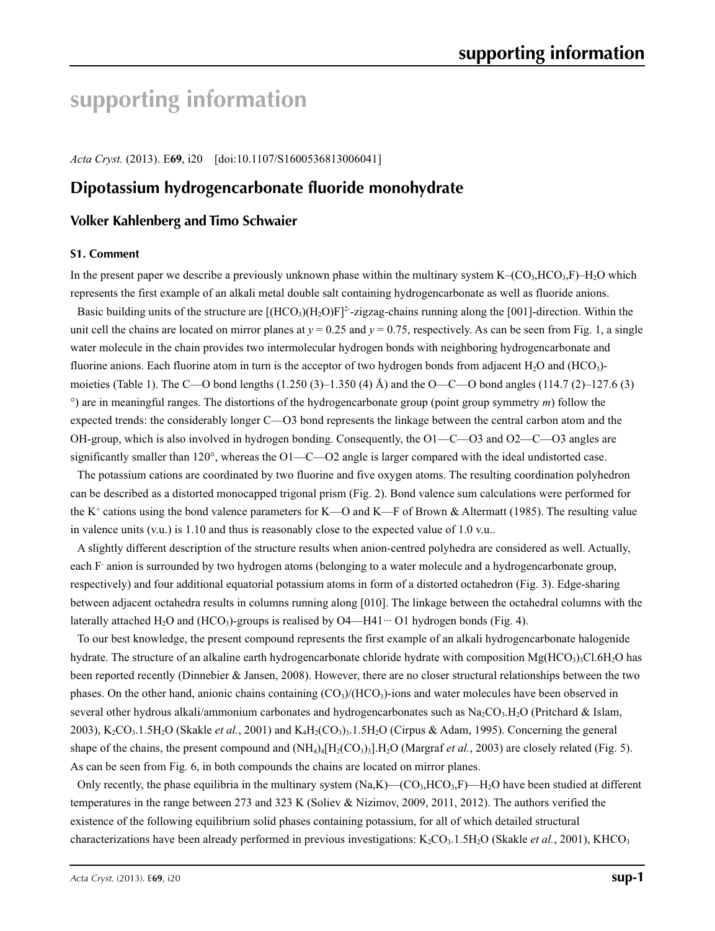# **supporting information**

*Acta Cryst.* (2013). E**69**, i20 [doi:10.1107/S1600536813006041]

# **Dipotassium hydrogencarbonate fluoride monohydrate**

# **Volker Kahlenberg and Timo Schwaier**

#### **S1. Comment**

In the present paper we describe a previously unknown phase within the multinary system  $K-(CO<sub>3</sub>, HCO<sub>3</sub>, F)-H<sub>2</sub>O$  which represents the first example of an alkali metal double salt containing hydrogencarbonate as well as fluoride anions.

Basic building units of the structure are  $[(HCO<sub>3</sub>)(H<sub>2</sub>O)F]<sup>2</sup>$ -zigzag-chains running along the [001]-direction. Within the unit cell the chains are located on mirror planes at  $y = 0.25$  and  $y = 0.75$ , respectively. As can be seen from Fig. 1, a single water molecule in the chain provides two intermolecular hydrogen bonds with neighboring hydrogencarbonate and fluorine anions. Each fluorine atom in turn is the acceptor of two hydrogen bonds from adjacent  $H_2O$  and  $(HCO_3)$ moieties (Table 1). The C—O bond lengths  $(1.250 (3)-1.350 (4)$  Å) and the O—C—O bond angles  $(114.7 (2)-127.6 (3)$ °) are in meaningful ranges. The distortions of the hydrogencarbonate group (point group symmetry *m*) follow the expected trends: the considerably longer C—O3 bond represents the linkage between the central carbon atom and the OH-group, which is also involved in hydrogen bonding. Consequently, the O1—C—O3 and O2—C—O3 angles are significantly smaller than 120°, whereas the O1—C—O2 angle is larger compared with the ideal undistorted case.

The potassium cations are coordinated by two fluorine and five oxygen atoms. The resulting coordination polyhedron can be described as a distorted monocapped trigonal prism (Fig. 2). Bond valence sum calculations were performed for the K<sup>+</sup> cations using the bond valence parameters for K—O and K—F of Brown & Altermatt (1985). The resulting value in valence units (v.u.) is 1.10 and thus is reasonably close to the expected value of 1.0 v.u..

A slightly different description of the structure results when anion-centred polyhedra are considered as well. Actually, each F anion is surrounded by two hydrogen atoms (belonging to a water molecule and a hydrogencarbonate group, respectively) and four additional equatorial potassium atoms in form of a distorted octahedron (Fig. 3). Edge-sharing between adjacent octahedra results in columns running along [010]. The linkage between the octahedral columns with the laterally attached H<sub>2</sub>O and (HCO<sub>3</sub>)-groups is realised by O4—H41<sup> $\cdots$ </sup> O1 hydrogen bonds (Fig. 4).

To our best knowledge, the present compound represents the first example of an alkali hydrogencarbonate halogenide hydrate. The structure of an alkaline earth hydrogencarbonate chloride hydrate with composition  $Mg(HCO<sub>3</sub>)$ <sub>3</sub>Cl.6H<sub>2</sub>O has been reported recently (Dinnebier & Jansen, 2008). However, there are no closer structural relationships between the two phases. On the other hand, anionic chains containing  $(CO<sub>3</sub>)/(HCO<sub>3</sub>)$ -ions and water molecules have been observed in several other hydrous alkali/ammonium carbonates and hydrogencarbonates such as  $Na_2CO_3.H_2O$  (Pritchard & Islam, 2003), K<sub>2</sub>CO<sub>3</sub>.1.5H<sub>2</sub>O (Skakle *et al.*, 2001) and K<sub>4</sub>H<sub>2</sub>(CO<sub>3</sub>)<sub>3</sub>.1.5H<sub>2</sub>O (Cirpus & Adam, 1995). Concerning the general shape of the chains, the present compound and  $(NH<sub>4</sub>)<sub>4</sub>[H<sub>2</sub>(CO<sub>3</sub>)<sub>3</sub>].H<sub>2</sub>O$  (Margraf *et al.*, 2003) are closely related (Fig. 5). As can be seen from Fig. 6, in both compounds the chains are located on mirror planes.

Only recently, the phase equilibria in the multinary system  $(Na,K)$ — $(CO_3,HCO_3,F)$ — $H_2O$  have been studied at different temperatures in the range between 273 and 323 K (Soliev & Nizimov, 2009, 2011, 2012). The authors verified the existence of the following equilibrium solid phases containing potassium, for all of which detailed structural characterizations have been already performed in previous investigations:  $K_2CO_3.1.5H_2O$  (Skakle *et al.*, 2001), KHCO<sub>3</sub>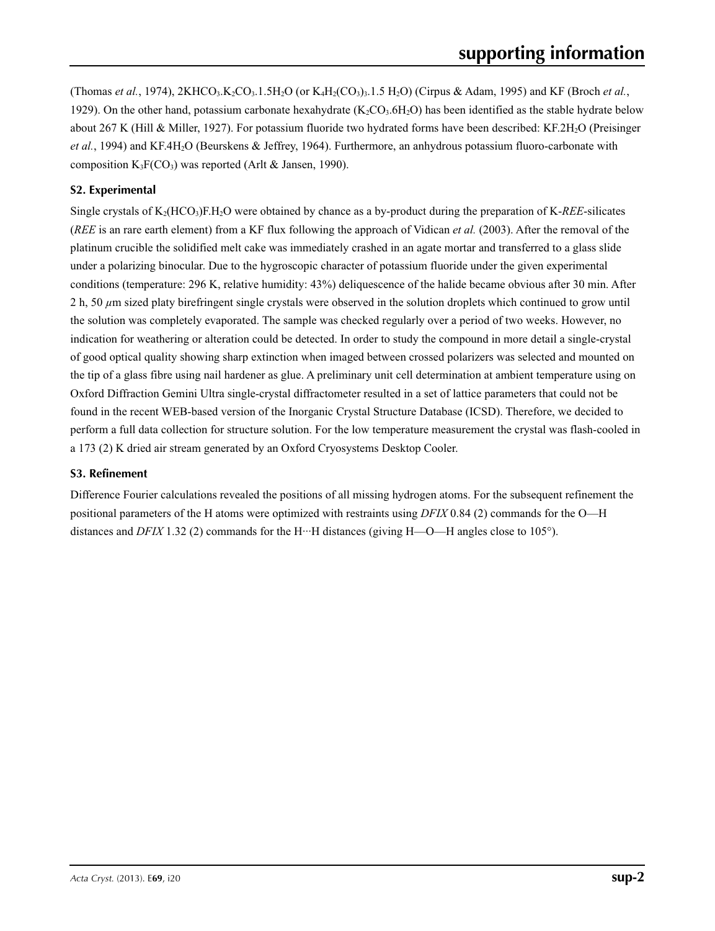(Thomas *et al.*, 1974), 2KHCO<sub>3</sub>.K<sub>2</sub>CO<sub>3</sub>.1.5H<sub>2</sub>O (or K<sub>4</sub>H<sub>2</sub>(CO<sub>3</sub>)<sub>3</sub>.1.5 H<sub>2</sub>O) (Cirpus & Adam, 1995) and KF (Broch *et al.*, 1929). On the other hand, potassium carbonate hexahydrate  $(K_2CO_3.6H_2O)$  has been identified as the stable hydrate below about 267 K (Hill & Miller, 1927). For potassium fluoride two hydrated forms have been described: KF.2H<sub>2</sub>O (Preisinger *et al.*, 1994) and KF.4H2O (Beurskens & Jeffrey, 1964). Furthermore, an anhydrous potassium fluoro-carbonate with composition  $K_3F(CO_3)$  was reported (Arlt & Jansen, 1990).

# **S2. Experimental**

Single crystals of K2(HCO3)F.H2O were obtained by chance as a by-product during the preparation of K-*REE*-silicates (*REE* is an rare earth element) from a KF flux following the approach of Vidican *et al.* (2003). After the removal of the platinum crucible the solidified melt cake was immediately crashed in an agate mortar and transferred to a glass slide under a polarizing binocular. Due to the hygroscopic character of potassium fluoride under the given experimental conditions (temperature: 296 K, relative humidity: 43%) deliquescence of the halide became obvious after 30 min. After 2 h, 50 *µ*m sized platy birefringent single crystals were observed in the solution droplets which continued to grow until the solution was completely evaporated. The sample was checked regularly over a period of two weeks. However, no indication for weathering or alteration could be detected. In order to study the compound in more detail a single-crystal of good optical quality showing sharp extinction when imaged between crossed polarizers was selected and mounted on the tip of a glass fibre using nail hardener as glue. A preliminary unit cell determination at ambient temperature using on Oxford Diffraction Gemini Ultra single-crystal diffractometer resulted in a set of lattice parameters that could not be found in the recent WEB-based version of the Inorganic Crystal Structure Database (ICSD). Therefore, we decided to perform a full data collection for structure solution. For the low temperature measurement the crystal was flash-cooled in a 173 (2) K dried air stream generated by an Oxford Cryosystems Desktop Cooler.

# **S3. Refinement**

Difference Fourier calculations revealed the positions of all missing hydrogen atoms. For the subsequent refinement the positional parameters of the H atoms were optimized with restraints using *DFIX* 0.84 (2) commands for the O—H distances and *DFIX* 1.32 (2) commands for the H···H distances (giving H—O—H angles close to 105°).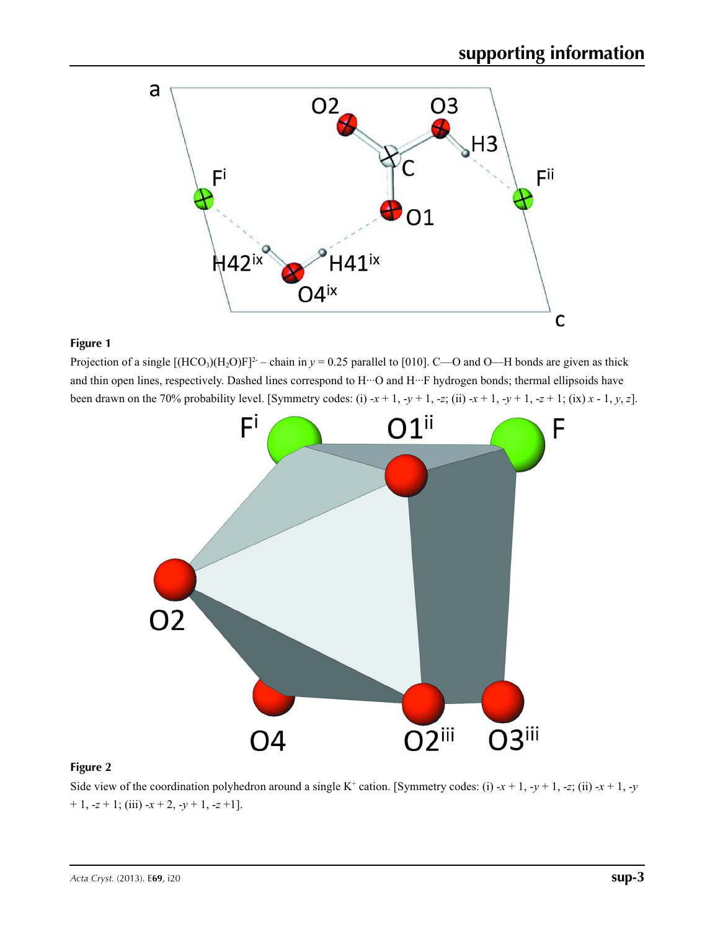

Projection of a single  $[(HCO<sub>3</sub>)(H<sub>2</sub>O)F]<sup>2</sup>$  – chain in  $y = 0.25$  parallel to [010]. C—O and O—H bonds are given as thick and thin open lines, respectively. Dashed lines correspond to H···O and H···F hydrogen bonds; thermal ellipsoids have been drawn on the 70% probability level. [Symmetry codes: (i)  $-x + 1$ ,  $-y + 1$ ,  $-z$ ; (ii)  $-x + 1$ ,  $-y + 1$ ,  $-z + 1$ ; (ix)  $x - 1$ ,  $y$ ,  $z$ ].



# **Figure 2**

Side view of the coordination polyhedron around a single K<sup>+</sup> cation. [Symmetry codes: (i) -*x* + 1, -*y* + 1, -*z*; (ii) -*x* + 1, -*y*  $+ 1, -z + 1$ ; (iii)  $-x + 2, -y + 1, -z +1$ .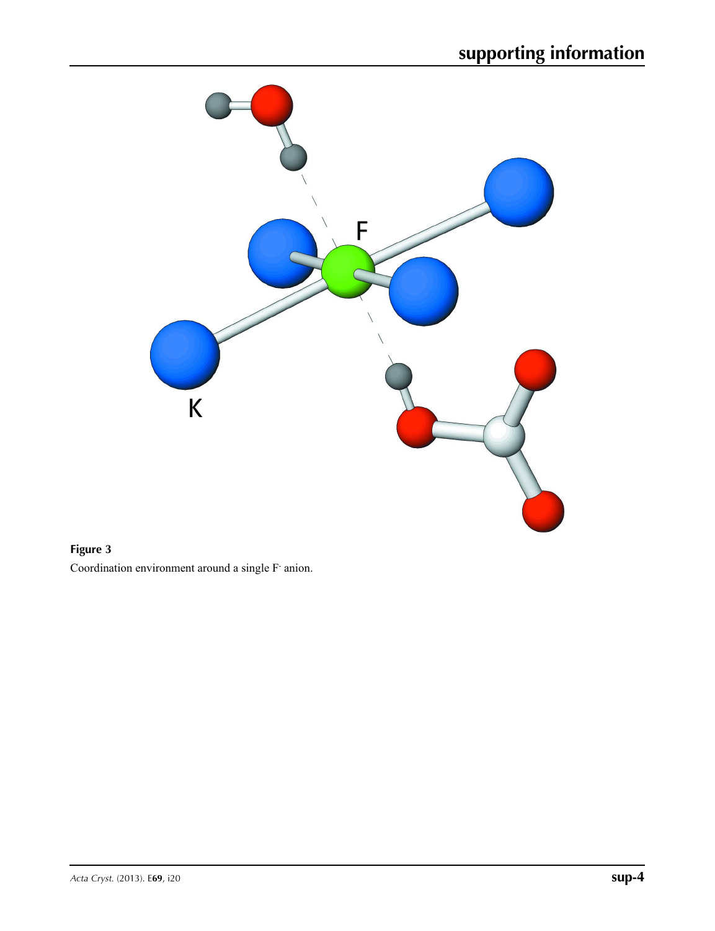

Coordination environment around a single F- anion.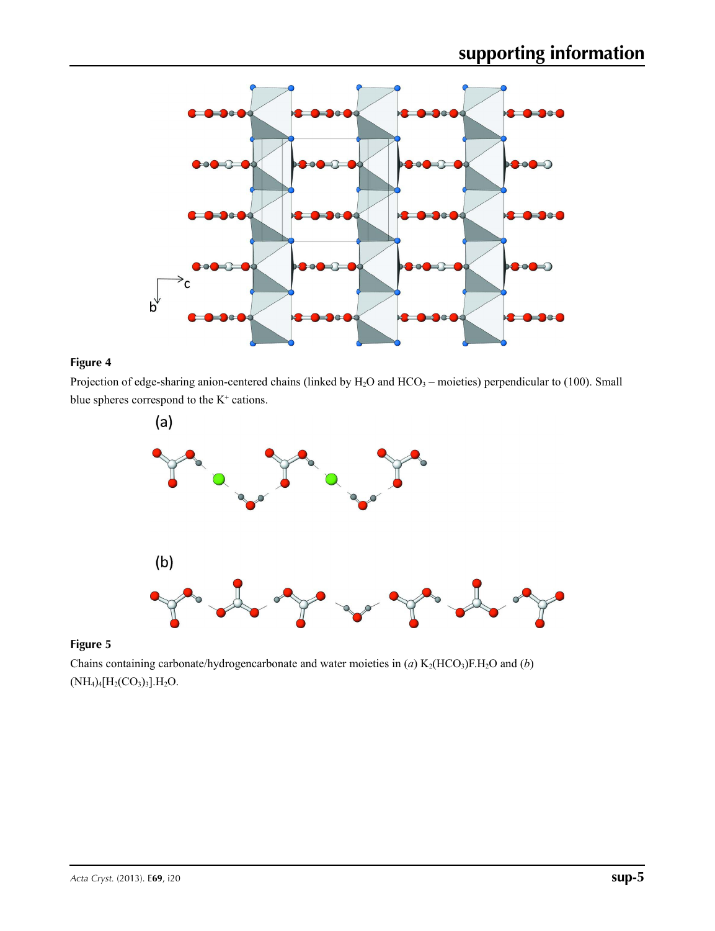

Projection of edge-sharing anion-centered chains (linked by  $H_2O$  and  $HCO_3$  – moieties) perpendicular to (100). Small blue spheres correspond to the  $K^+$  cations.





Chains containing carbonate/hydrogencarbonate and water moieties in (*a*)  $K_2(HCO_3)F.H_2O$  and (*b*)  $(NH_4)_4[H_2(CO_3)_3].H_2O.$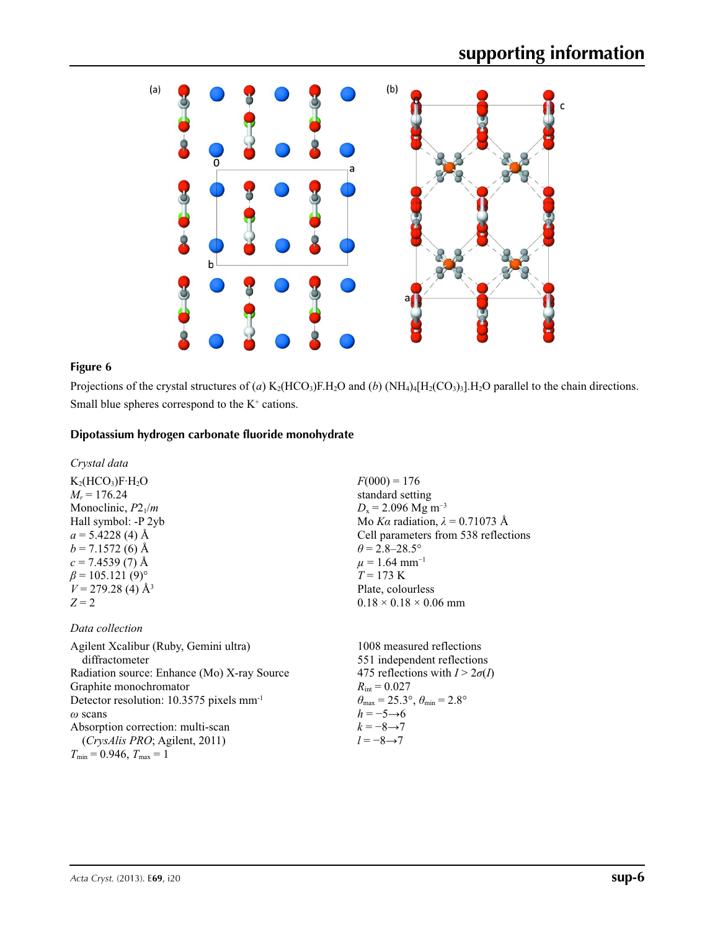

Projections of the crystal structures of (*a*) K<sub>2</sub>(HCO<sub>3</sub>)F.H<sub>2</sub>O and (*b*) (NH<sub>4</sub>)<sub>4</sub>[H<sub>2</sub>(CO<sub>3</sub>)<sub>3</sub>].H<sub>2</sub>O parallel to the chain directions. Small blue spheres correspond to the  $K^+$  cations.

# **Dipotassium hydrogen carbonate fluoride monohydrate**

### *Crystal data*

 $K_2(HCO_3)F·H_2O$  $M_r = 176.24$ Monoclinic, *P*21/*m* Hall symbol: -P 2yb  $a = 5.4228$  (4) Å  $b = 7.1572(6)$  Å  $c = 7.4539(7)$  Å  $\beta$  = 105.121 (9)<sup>o</sup>  $V = 279.28$  (4)  $\AA$ <sup>3</sup>  $Z = 2$ 

## *Data collection*

Agilent Xcalibur (Ruby, Gemini ultra) diffractometer Radiation source: Enhance (Mo) X-ray Source Graphite monochromator Detector resolution: 10.3575 pixels mm-1 *ω* scans Absorption correction: multi-scan (*CrysAlis PRO*; Agilent, 2011)  $T_{\min} = 0.946, T_{\max} = 1$ 

 $F(000) = 176$ standard setting  $D_x = 2.096$  Mg m<sup>-3</sup> Mo *Kα* radiation, *λ* = 0.71073 Å Cell parameters from 538 reflections  $\theta$  = 2.8–28.5°  $\mu$  = 1.64 mm<sup>-1</sup>  $T = 173 \text{ K}$ Plate, colourless  $0.18 \times 0.18 \times 0.06$  mm

1008 measured reflections 551 independent reflections 475 reflections with  $I > 2\sigma(I)$  $R_{\text{int}} = 0.027$  $\theta_{\text{max}} = 25.3^{\circ}, \theta_{\text{min}} = 2.8^{\circ}$  $h = -5 \rightarrow 6$  $k = -8 \rightarrow 7$ *l* = −8→7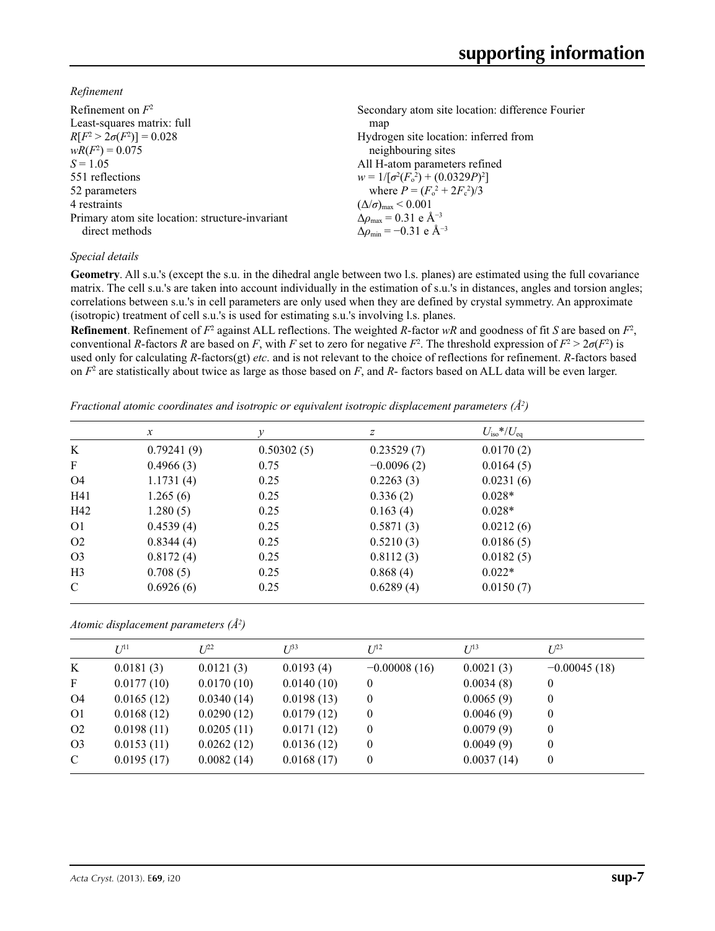*Refinement*

| Refinement on $F^2$                             | Secondary atom site location: difference Fourier   |
|-------------------------------------------------|----------------------------------------------------|
| Least-squares matrix: full                      | map                                                |
| $R[F^2 > 2\sigma(F^2)] = 0.028$                 | Hydrogen site location: inferred from              |
| $wR(F^2) = 0.075$                               | neighbouring sites                                 |
| $S = 1.05$                                      | All H-atom parameters refined                      |
| 551 reflections                                 | $w = 1/[\sigma^2(F_0^2) + (0.0329P)^2]$            |
| 52 parameters                                   | where $P = (F_o^2 + 2F_c^2)/3$                     |
| 4 restraints                                    | $(\Delta/\sigma)_{\text{max}}$ < 0.001             |
| Primary atom site location: structure-invariant | $\Delta \rho_{\text{max}} = 0.31 \text{ e A}^{-3}$ |
| direct methods                                  | $\Delta \rho_{\rm min} = -0.31$ e Å <sup>-3</sup>  |

## *Special details*

**Geometry**. All s.u.'s (except the s.u. in the dihedral angle between two l.s. planes) are estimated using the full covariance matrix. The cell s.u.'s are taken into account individually in the estimation of s.u.'s in distances, angles and torsion angles; correlations between s.u.'s in cell parameters are only used when they are defined by crystal symmetry. An approximate (isotropic) treatment of cell s.u.'s is used for estimating s.u.'s involving l.s. planes.

**Refinement**. Refinement of  $F^2$  against ALL reflections. The weighted  $R$ -factor  $wR$  and goodness of fit  $S$  are based on  $F^2$ , conventional *R*-factors *R* are based on *F*, with *F* set to zero for negative *F*<sup>2</sup>. The threshold expression of  $F^2 > 2\sigma(F^2)$  is used only for calculating *R*-factors(gt) *etc*. and is not relevant to the choice of reflections for refinement. *R*-factors based on *F*<sup>2</sup> are statistically about twice as large as those based on *F*, and *R*- factors based on ALL data will be even larger.

*Fractional atomic coordinates and isotropic or equivalent isotropic displacement parameters (Å<sup>2</sup>)* 

|                | $\mathcal{X}$ | v          | Ζ            | $U_{\rm iso}$ */ $U_{\rm eq}$ |  |
|----------------|---------------|------------|--------------|-------------------------------|--|
| K              | 0.79241(9)    | 0.50302(5) | 0.23529(7)   | 0.0170(2)                     |  |
| $\mathbf F$    | 0.4966(3)     | 0.75       | $-0.0096(2)$ | 0.0164(5)                     |  |
| O <sub>4</sub> | 1.1731(4)     | 0.25       | 0.2263(3)    | 0.0231(6)                     |  |
| H41            | 1.265(6)      | 0.25       | 0.336(2)     | $0.028*$                      |  |
| H42            | 1.280(5)      | 0.25       | 0.163(4)     | $0.028*$                      |  |
| O <sub>1</sub> | 0.4539(4)     | 0.25       | 0.5871(3)    | 0.0212(6)                     |  |
| O <sub>2</sub> | 0.8344(4)     | 0.25       | 0.5210(3)    | 0.0186(5)                     |  |
| O <sub>3</sub> | 0.8172(4)     | 0.25       | 0.8112(3)    | 0.0182(5)                     |  |
| H <sub>3</sub> | 0.708(5)      | 0.25       | 0.868(4)     | $0.022*$                      |  |
| $\mathcal{C}$  | 0.6926(6)     | 0.25       | 0.6289(4)    | 0.0150(7)                     |  |

*Atomic displacement parameters (Å2 )*

|                | $U^{11}$   | $I^{22}$   | $I^{\beta 3}$ | $I/I^2$        | $I^{13}$   | $I^{23}$       |
|----------------|------------|------------|---------------|----------------|------------|----------------|
| K              | 0.0181(3)  | 0.0121(3)  | 0.0193(4)     | $-0.00008(16)$ | 0.0021(3)  | $-0.00045(18)$ |
| $\mathbf{F}$   | 0.0177(10) | 0.0170(10) | 0.0140(10)    | $\bf{0}$       | 0.0034(8)  | $\theta$       |
| O4             | 0.0165(12) | 0.0340(14) | 0.0198(13)    | $\theta$       | 0.0065(9)  | $\theta$       |
| O <sub>1</sub> | 0.0168(12) | 0.0290(12) | 0.0179(12)    | $\overline{0}$ | 0.0046(9)  | $\theta$       |
| O <sub>2</sub> | 0.0198(11) | 0.0205(11) | 0.0171(12)    | $\overline{0}$ | 0.0079(9)  | $\theta$       |
| O <sub>3</sub> | 0.0153(11) | 0.0262(12) | 0.0136(12)    | $\bf{0}$       | 0.0049(9)  | $\theta$       |
| $\mathbf{C}$   | 0.0195(17) | 0.0082(14) | 0.0168(17)    | $\mathbf{0}$   | 0.0037(14) | $\theta$       |
|                |            |            |               |                |            |                |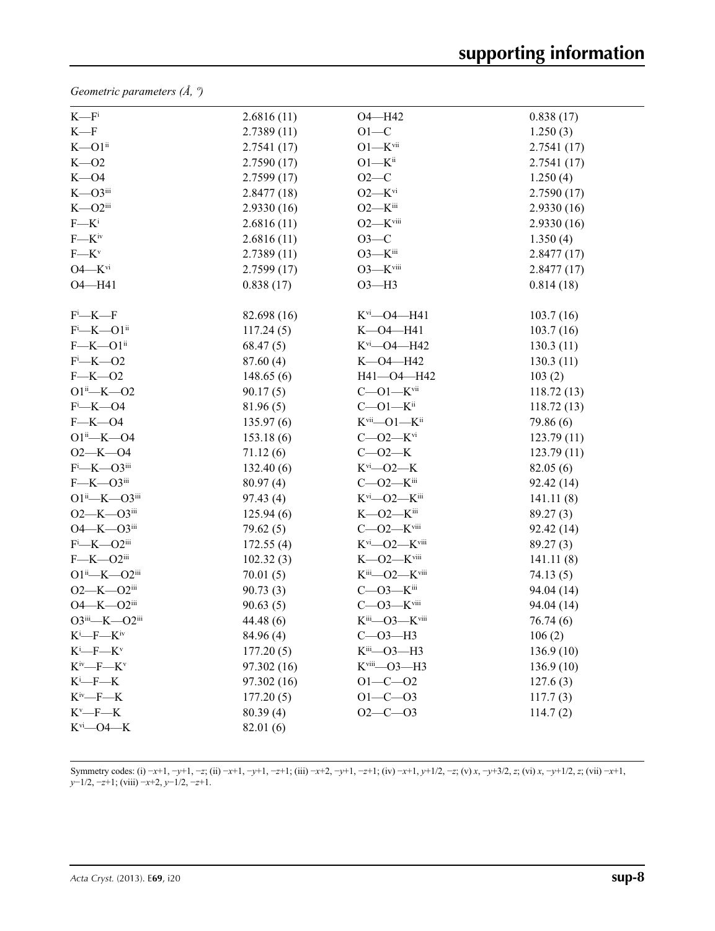*Geometric parameters (Å, º)*

| $K-Fi$                     | 2.6816(11)  | $O4 - H42$                       | 0.838(17)  |
|----------------------------|-------------|----------------------------------|------------|
| $K-F$                      | 2.7389(11)  | $O1-C$                           | 1.250(3)   |
| $K$ — $O1$ <sup>ii</sup>   | 2.7541(17)  | $O1 - K$ vii                     | 2.7541(17) |
| $K - 02$                   | 2.7590(17)  | $O1 - K^{ii}$                    | 2.7541(17) |
| $K - O4$                   | 2.7599(17)  | $O2-C$                           | 1.250(4)   |
| $K - O3$ iii               | 2.8477(18)  | $O2-Kvi$                         | 2.7590(17) |
| $K - O2$ iii               | 2.9330(16)  | $O2 - K^{iii}$                   | 2.9330(16) |
| $F - K^i$                  | 2.6816(11)  | $O2$ — $K$ <sup>viii</sup>       | 2.9330(16) |
| $F$ — $K^{iv}$             | 2.6816(11)  | $O3-C$                           | 1.350(4)   |
| $F$ — $K^v$                | 2.7389(11)  | $O3$ — $K$ <sup>iii</sup>        | 2.8477(17) |
| $O4 - Kvi$                 | 2.7599(17)  | $O3$ — $K$ <sup>viii</sup>       | 2.8477(17) |
| O4-H41                     | 0.838(17)   | $O3 - H3$                        | 0.814(18)  |
| $F^i$ —K—F                 | 82.698 (16) | $K^{vi}$ —O4—H41                 | 103.7(16)  |
| $F^i$ -K-O1ii              | 117.24(5)   |                                  | 103.7(16)  |
| $F$ —K—O1 $i$              | 68.47(5)    | $K^{vi}$ —O4—H42                 | 130.3(11)  |
| $F^i$ -K-O2                | 87.60(4)    | $K$ -O4-H42                      | 130.3(11)  |
| $F$ –K–O2                  | 148.65(6)   | H41-O4-H42                       | 103(2)     |
| $O1^{ii}$ -K- $O2$         | 90.17(5)    | $C - O1 - K$ vii                 | 118.72(13) |
| $F - K - O4$               | 81.96(5)    | $C - O1 - K$ <sup>ii</sup>       | 118.72(13) |
| $F$ —K—O4                  | 135.97(6)   | $K^{vii}$ —O1— $K^{ii}$          | 79.86 (6)  |
| $O1^{ii}$ -K- $O4$         | 153.18(6)   | $C - O2 - K$ <sup>vi</sup>       | 123.79(11) |
| $O2 - K - O4$              | 71.12(6)    | $C - 02 - K$                     | 123.79(11) |
| $F^i$ —K—O3 <sup>iii</sup> | 132.40(6)   | $K^{\rm vi}$ - O2 - K            | 82.05(6)   |
| $F$ —K—O3iii               | 80.97(4)    | $C$ —O2— $K$ <sup>iii</sup>      | 92.42 (14) |
| $O1^{ii}$ —K— $O3^{iii}$   | 97.43(4)    | $K^{vi}$ —O2— $K^{iii}$          | 141.11(8)  |
| $O2 - K - O3$ iii          | 125.94(6)   | $K$ —O2— $K$ <sup>iii</sup>      | 89.27(3)   |
| $O4 - K - O3$ iii          | 79.62(5)    | $C$ — $O2$ — $K$ <sup>viii</sup> | 92.42 (14) |
| $F^i$ —K—O2 <sup>iii</sup> | 172.55(4)   | $K^{vi}$ —O2— $K^{viii}$         | 89.27(3)   |
| $F$ —K—O2iii               | 102.32(3)   | $K$ —O2— $K$ <sup>viii</sup>     | 141.11(8)  |
| $O1^{ii}$ —K— $O2^{iii}$   | 70.01(5)    | $K^{iii}$ —O2— $K^{viii}$        | 74.13(5)   |
| $O2 - K - O2$ iii          | 90.73(3)    | $C$ -O3-Kiii                     | 94.04 (14) |
| $O4 - K - O2$ iii          | 90.63(5)    | $C - O3 - K$ viii                | 94.04 (14) |
| O3iii-K-O2iii              | 44.48 (6)   | Kiii-O3-Kviii                    | 76.74(6)   |
| $K^i$ —F— $K^iv$           | 84.96 (4)   | $C - O3 - H3$                    | 106(2)     |
| $K^i$ -F- $K^v$            | 177.20(5)   | $Kiii$ -03-H3                    | 136.9(10)  |
| $K^{iv}$ —F— $K^{v}$       | 97.302 (16) | Kviii-03-H3                      | 136.9(10)  |
| $K^i$ --- $K$              | 97.302 (16) | $O1 - C - O2$                    | 127.6(3)   |
| $K^{iv}$ —F—K              | 177.20(5)   | $O1 - C - O3$                    | 117.7(3)   |
| $K^v$ -F-K                 | 80.39(4)    | $O2-C-O3$                        | 114.7(2)   |
| $K^{vi}$ - O4 - K          | 82.01 (6)   |                                  |            |

Symmetry codes: (i) -x+1, -y+1, -z; (ii) -x+1, -y+1, -z+1; (iii) -x+2, -y+1, -z+1; (iv) -x+1, y+1/2, -z; (v) x, -y+3/2, z; (vi) x, -y+1/2, z; (vii) -x+1, *y*−1/2, −*z*+1; (viii) −*x*+2, *y*−1/2, −*z*+1.